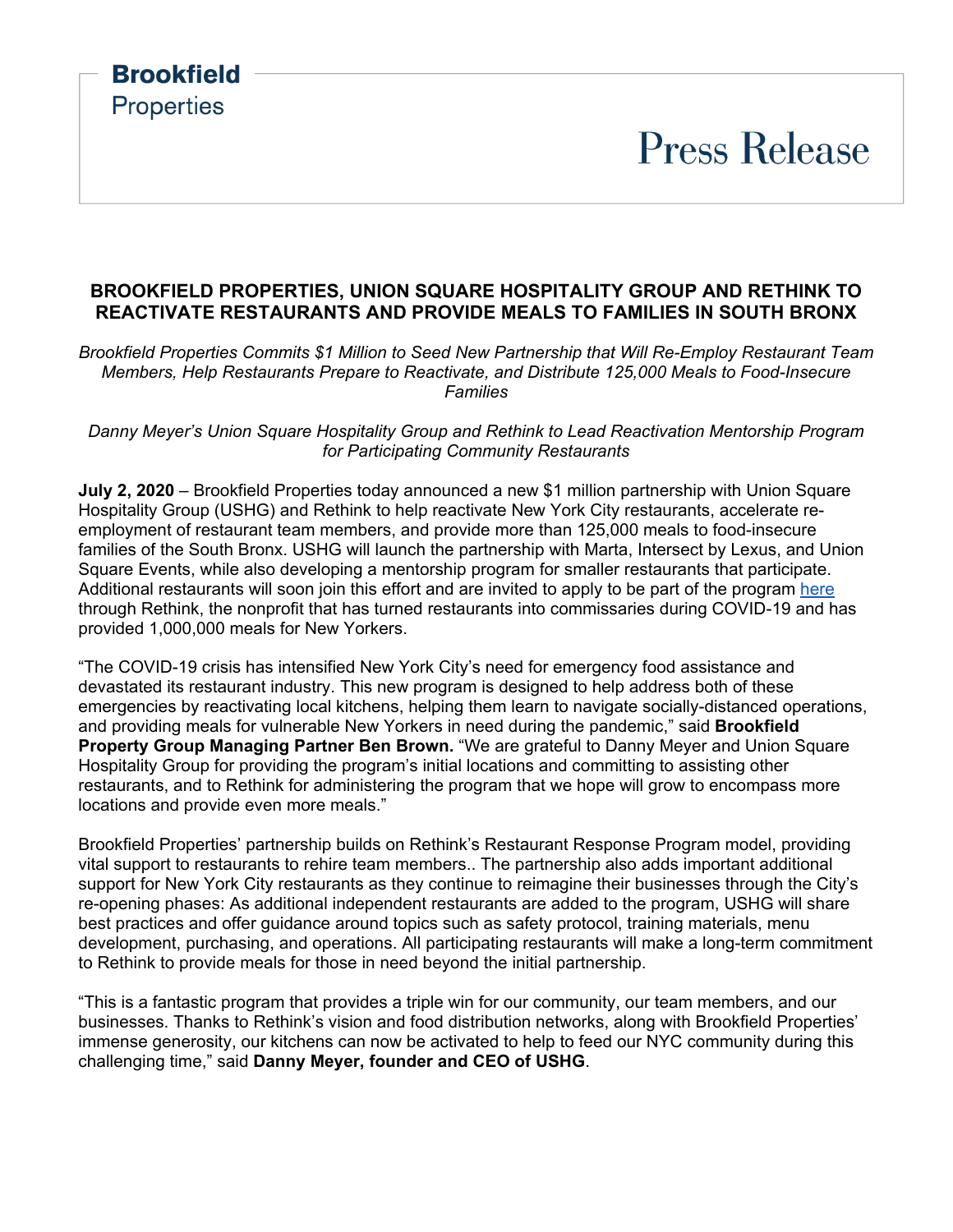### **Brookfield Properties Press Release BROOKFIELD PROPERTIES, UNION SQUARE HOSPITALITY GROUP AND RETHINK TO REACTIVATE RESTAURANTS AND PROVIDE MEALS TO FAMILIES IN SOUTH BRONX**

*Brookfield Properties Commits \$1 Million to Seed New Partnership that Will Re-Employ Restaurant Team Members, Help Restaurants Prepare to Reactivate, and Distribute 125,000 Meals to Food-Insecure Families*

*Danny Meyer's Union Square Hospitality Group and Rethink to Lead Reactivation Mentorship Program for Participating Community Restaurants* 

**July 2, 2020** – Brookfield Properties today announced a new \$1 million partnership with Union Square Hospitality Group (USHG) and Rethink to help reactivate New York City restaurants, accelerate reemployment of restaurant team members, and provide more than 125,000 meals to food-insecure families of the South Bronx. USHG will launch the partnership with Marta, Intersect by Lexus, and Union Square Events, while also developing a mentorship program for smaller restaurants that participate. Additional restaurants will soon join this effort and are invited to apply to be part of the program [here](http://rethinkfood.nyc/restaurant-response-program) through Rethink, the nonprofit that has turned restaurants into commissaries during COVID-19 and has provided 1,000,000 meals for New Yorkers.

"The COVID-19 crisis has intensified New York City's need for emergency food assistance and devastated its restaurant industry. This new program is designed to help address both of these emergencies by reactivating local kitchens, helping them learn to navigate socially-distanced operations, and providing meals for vulnerable New Yorkers in need during the pandemic," said **Brookfield Property Group Managing Partner Ben Brown.** "We are grateful to Danny Meyer and Union Square Hospitality Group for providing the program's initial locations and committing to assisting other restaurants, and to Rethink for administering the program that we hope will grow to encompass more locations and provide even more meals."

Brookfield Properties' partnership builds on Rethink's Restaurant Response Program model, providing vital support to restaurants to rehire team members.. The partnership also adds important additional support for New York City restaurants as they continue to reimagine their businesses through the City's re-opening phases: As additional independent restaurants are added to the program, USHG will share best practices and offer guidance around topics such as safety protocol, training materials, menu development, purchasing, and operations. All participating restaurants will make a long-term commitment to Rethink to provide meals for those in need beyond the initial partnership.

"This is a fantastic program that provides a triple win for our community, our team members, and our businesses. Thanks to Rethink's vision and food distribution networks, along with Brookfield Properties' immense generosity, our kitchens can now be activated to help to feed our NYC community during this challenging time," said **Danny Meyer, founder and CEO of USHG**.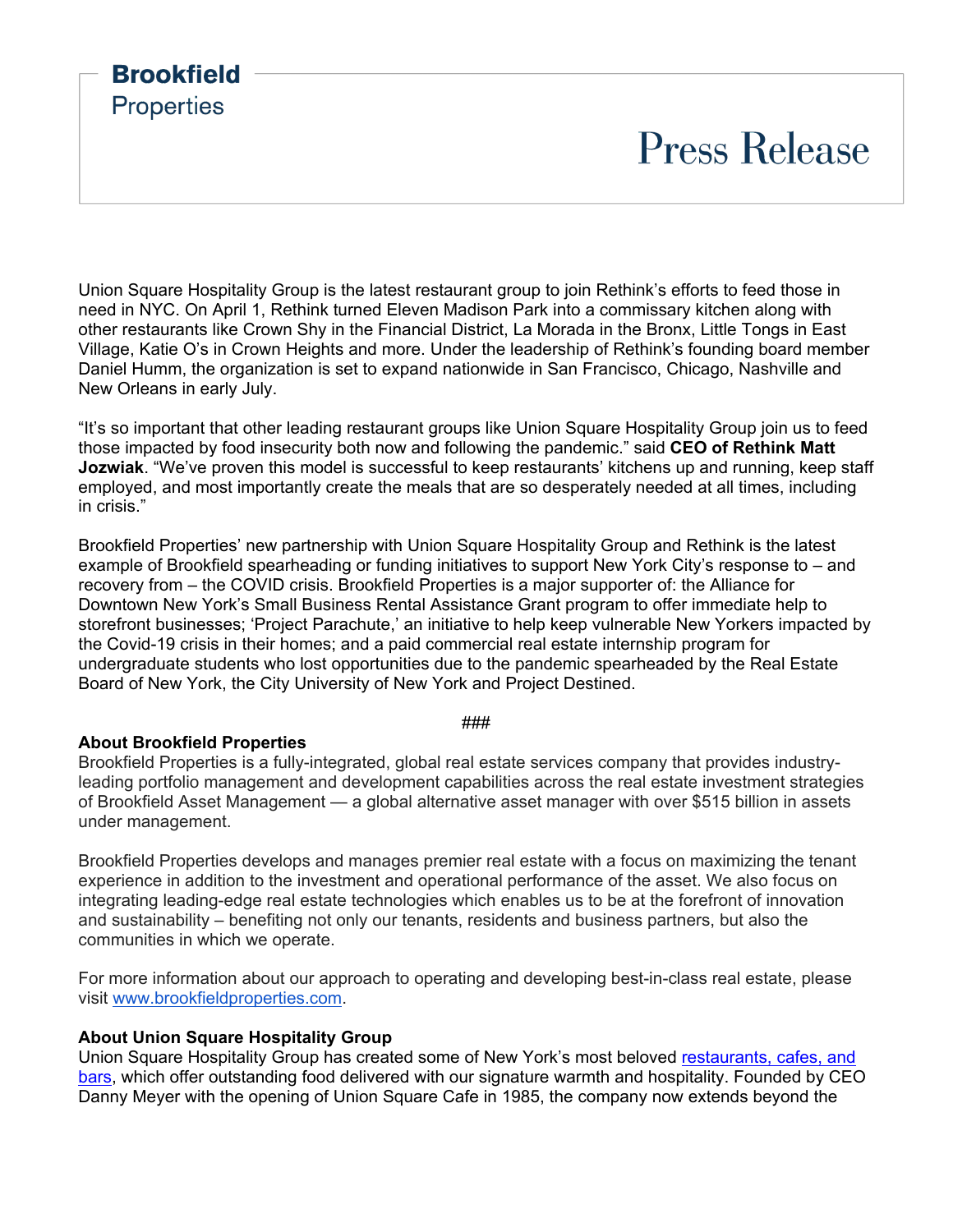## **Brookfield Properties Press Release**

Union Square Hospitality Group is the latest restaurant group to join Rethink's efforts to feed those in need in NYC. On April 1, Rethink turned Eleven Madison Park into a commissary kitchen along with other restaurants like Crown Shy in the Financial District, La Morada in the Bronx, Little Tongs in East Village, Katie O's in Crown Heights and more. Under the leadership of Rethink's founding board member Daniel Humm, the organization is set to expand nationwide in San Francisco, Chicago, Nashville and New Orleans in early July.

"It's so important that other leading restaurant groups like Union Square Hospitality Group join us to feed those impacted by food insecurity both now and following the pandemic." said **CEO of Rethink Matt Jozwiak**. "We've proven this model is successful to keep restaurants' kitchens up and running, keep staff employed, and most importantly create the meals that are so desperately needed at all times, including in crisis."

Brookfield Properties' new partnership with Union Square Hospitality Group and Rethink is the latest example of Brookfield spearheading or funding initiatives to support New York City's response to – and recovery from – the COVID crisis. Brookfield Properties is a major supporter of: the Alliance for Downtown New York's Small Business Rental Assistance Grant program to offer immediate help to storefront businesses; 'Project Parachute,' an initiative to help keep vulnerable New Yorkers impacted by the Covid-19 crisis in their homes; and a paid commercial real estate internship program for undergraduate students who lost opportunities due to the pandemic spearheaded by the Real Estate Board of New York, the City University of New York and Project Destined.

###

#### **About Brookfield Properties**

Brookfield Properties is a fully-integrated, global real estate services company that provides industryleading portfolio management and development capabilities across the real estate investment strategies of Brookfield Asset Management — a global alternative asset manager with over \$515 billion in assets under management.

Brookfield Properties develops and manages premier real estate with a focus on maximizing the tenant experience in addition to the investment and operational performance of the asset. We also focus on integrating leading-edge real estate technologies which enables us to be at the forefront of innovation and sustainability – benefiting not only our tenants, residents and business partners, but also the communities in which we operate.

For more information about our approach to operating and developing best-in-class real estate, please visit [www.brookfieldproperties.com.](http://www.brookfieldproperties.com/)

#### **About Union Square Hospitality Group**

Union Square Hospitality Group has created some of New York's most beloved [restaurants, cafes, and](https://www.ushgnyc.com/businesses/)  [bars,](https://www.ushgnyc.com/businesses/) which offer outstanding food delivered with our signature warmth and hospitality. Founded by CEO Danny Meyer with the opening of Union Square Cafe in 1985, the company now extends beyond the